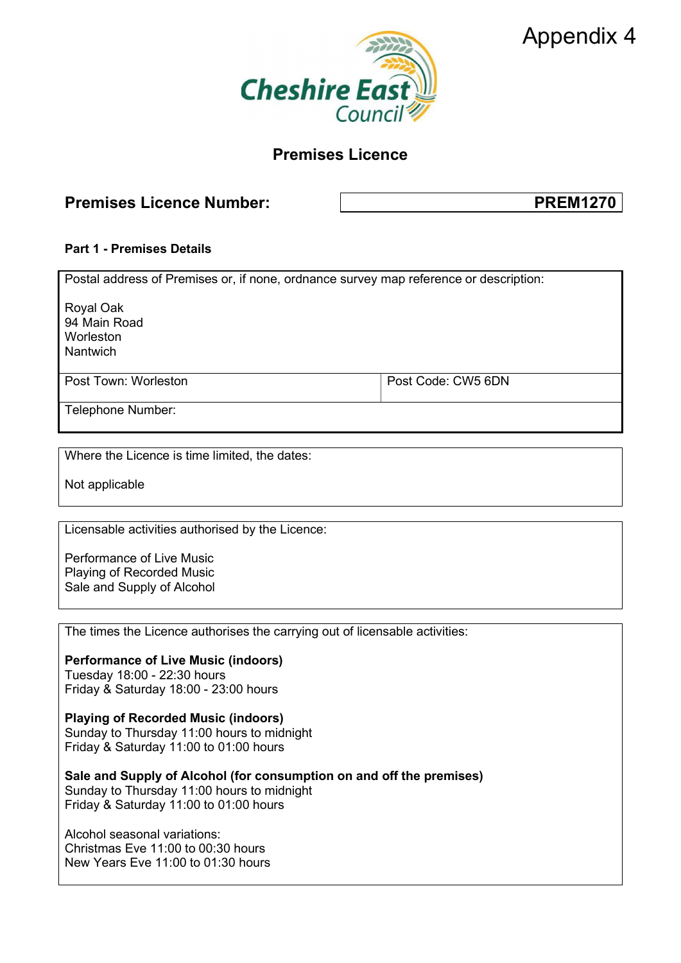



# Premises Licence

# Premises Licence Number:  $\qquad \qquad$  PREM1270

## Part 1 - Premises Details

| Postal address of Premises or, if none, ordnance survey map reference or description: |                    |
|---------------------------------------------------------------------------------------|--------------------|
| Royal Oak<br>94 Main Road<br>Worleston<br><b>Nantwich</b>                             |                    |
| Post Town: Worleston                                                                  | Post Code: CW5 6DN |
| Telephone Number:                                                                     |                    |

Where the Licence is time limited, the dates:

Not applicable

Licensable activities authorised by the Licence:

Performance of Live Music Playing of Recorded Music Sale and Supply of Alcohol

The times the Licence authorises the carrying out of licensable activities:

Performance of Live Music (indoors) Tuesday 18:00 - 22:30 hours Friday & Saturday 18:00 - 23:00 hours

Playing of Recorded Music (indoors) Sunday to Thursday 11:00 hours to midnight Friday & Saturday 11:00 to 01:00 hours

Sale and Supply of Alcohol (for consumption on and off the premises) Sunday to Thursday 11:00 hours to midnight Friday & Saturday 11:00 to 01:00 hours

Alcohol seasonal variations: Christmas Eve 11:00 to 00:30 hours New Years Eve 11:00 to 01:30 hours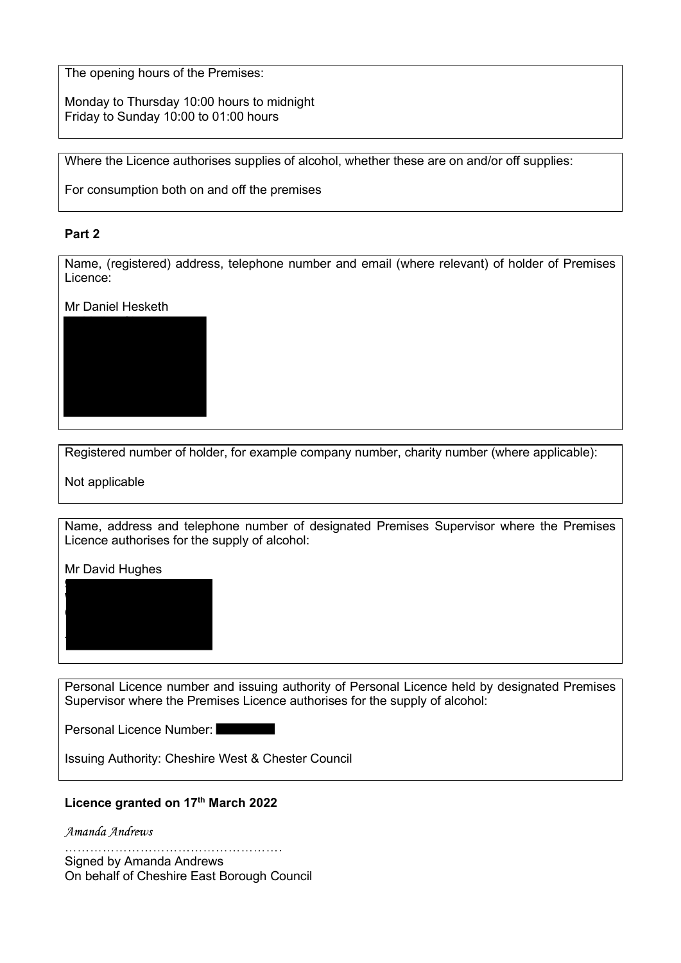The opening hours of the Premises:

Monday to Thursday 10:00 hours to midnight Friday to Sunday 10:00 to 01:00 hours

Where the Licence authorises supplies of alcohol, whether these are on and/or off supplies:

For consumption both on and off the premises

#### Part 2

Name, (registered) address, telephone number and email (where relevant) of holder of Premises Licence:

Mr Daniel Hesketh



Registered number of holder, for example company number, charity number (where applicable):

Not applicable

Name, address and telephone number of designated Premises Supervisor where the Premises Licence authorises for the supply of alcohol:

Mr David Hughes



Personal Licence number and issuing authority of Personal Licence held by designated Premises Supervisor where the Premises Licence authorises for the supply of alcohol:

Personal Licence Number:

Issuing Authority: Cheshire West & Chester Council

### Licence granted on 17<sup>th</sup> March 2022

Amanda Andrews

Signed by Amanda Andrews On behalf of Cheshire East Borough Council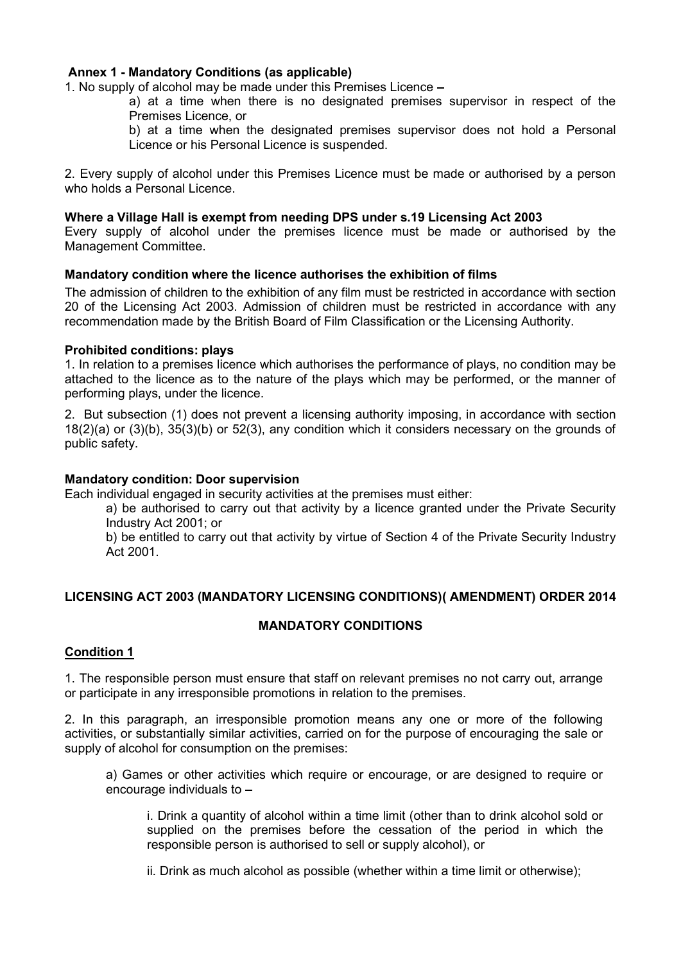#### Annex 1 - Mandatory Conditions (as applicable)

1. No supply of alcohol may be made under this Premises Licence

a) at a time when there is no designated premises supervisor in respect of the Premises Licence, or

b) at a time when the designated premises supervisor does not hold a Personal Licence or his Personal Licence is suspended.

2. Every supply of alcohol under this Premises Licence must be made or authorised by a person who holds a Personal Licence.

#### Where a Village Hall is exempt from needing DPS under s.19 Licensing Act 2003

Every supply of alcohol under the premises licence must be made or authorised by the Management Committee.

#### Mandatory condition where the licence authorises the exhibition of films

The admission of children to the exhibition of any film must be restricted in accordance with section 20 of the Licensing Act 2003. Admission of children must be restricted in accordance with any recommendation made by the British Board of Film Classification or the Licensing Authority.

#### Prohibited conditions: plays

1. In relation to a premises licence which authorises the performance of plays, no condition may be attached to the licence as to the nature of the plays which may be performed, or the manner of performing plays, under the licence.

2. But subsection (1) does not prevent a licensing authority imposing, in accordance with section 18(2)(a) or (3)(b), 35(3)(b) or 52(3), any condition which it considers necessary on the grounds of public safety.

#### Mandatory condition: Door supervision

Each individual engaged in security activities at the premises must either:

a) be authorised to carry out that activity by a licence granted under the Private Security Industry Act 2001; or

b) be entitled to carry out that activity by virtue of Section 4 of the Private Security Industry Act 2001.

## LICENSING ACT 2003 (MANDATORY LICENSING CONDITIONS)( AMENDMENT) ORDER 2014

#### MANDATORY CONDITIONS

#### Condition 1

1. The responsible person must ensure that staff on relevant premises no not carry out, arrange or participate in any irresponsible promotions in relation to the premises.

2. In this paragraph, an irresponsible promotion means any one or more of the following activities, or substantially similar activities, carried on for the purpose of encouraging the sale or supply of alcohol for consumption on the premises:

a) Games or other activities which require or encourage, or are designed to require or encourage individuals to

i. Drink a quantity of alcohol within a time limit (other than to drink alcohol sold or supplied on the premises before the cessation of the period in which the responsible person is authorised to sell or supply alcohol), or

ii. Drink as much alcohol as possible (whether within a time limit or otherwise);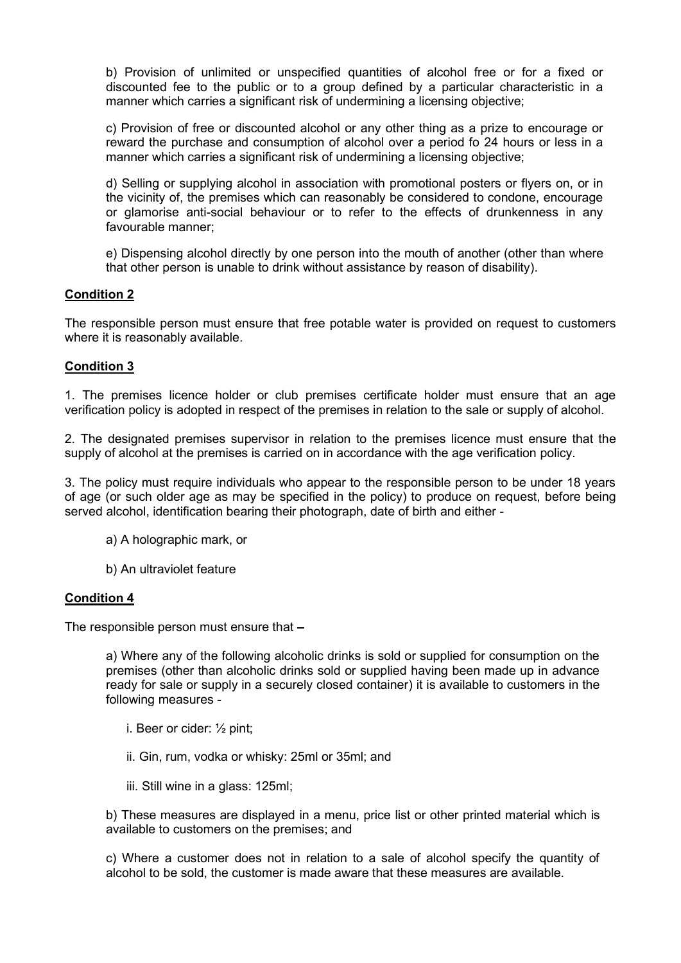b) Provision of unlimited or unspecified quantities of alcohol free or for a fixed or discounted fee to the public or to a group defined by a particular characteristic in a manner which carries a significant risk of undermining a licensing objective;

c) Provision of free or discounted alcohol or any other thing as a prize to encourage or reward the purchase and consumption of alcohol over a period fo 24 hours or less in a manner which carries a significant risk of undermining a licensing objective;

d) Selling or supplying alcohol in association with promotional posters or flyers on, or in the vicinity of, the premises which can reasonably be considered to condone, encourage or glamorise anti-social behaviour or to refer to the effects of drunkenness in any favourable manner;

e) Dispensing alcohol directly by one person into the mouth of another (other than where that other person is unable to drink without assistance by reason of disability).

## Condition 2

The responsible person must ensure that free potable water is provided on request to customers where it is reasonably available.

#### Condition 3

1. The premises licence holder or club premises certificate holder must ensure that an age verification policy is adopted in respect of the premises in relation to the sale or supply of alcohol.

2. The designated premises supervisor in relation to the premises licence must ensure that the supply of alcohol at the premises is carried on in accordance with the age verification policy.

3. The policy must require individuals who appear to the responsible person to be under 18 years of age (or such older age as may be specified in the policy) to produce on request, before being served alcohol, identification bearing their photograph, date of birth and either -

- a) A holographic mark, or
- b) An ultraviolet feature

#### Condition 4

The responsible person must ensure that

a) Where any of the following alcoholic drinks is sold or supplied for consumption on the premises (other than alcoholic drinks sold or supplied having been made up in advance ready for sale or supply in a securely closed container) it is available to customers in the following measures -

- i. Beer or cider: ½ pint;
- ii. Gin, rum, vodka or whisky: 25ml or 35ml; and
- iii. Still wine in a glass: 125ml;

b) These measures are displayed in a menu, price list or other printed material which is available to customers on the premises; and

c) Where a customer does not in relation to a sale of alcohol specify the quantity of alcohol to be sold, the customer is made aware that these measures are available.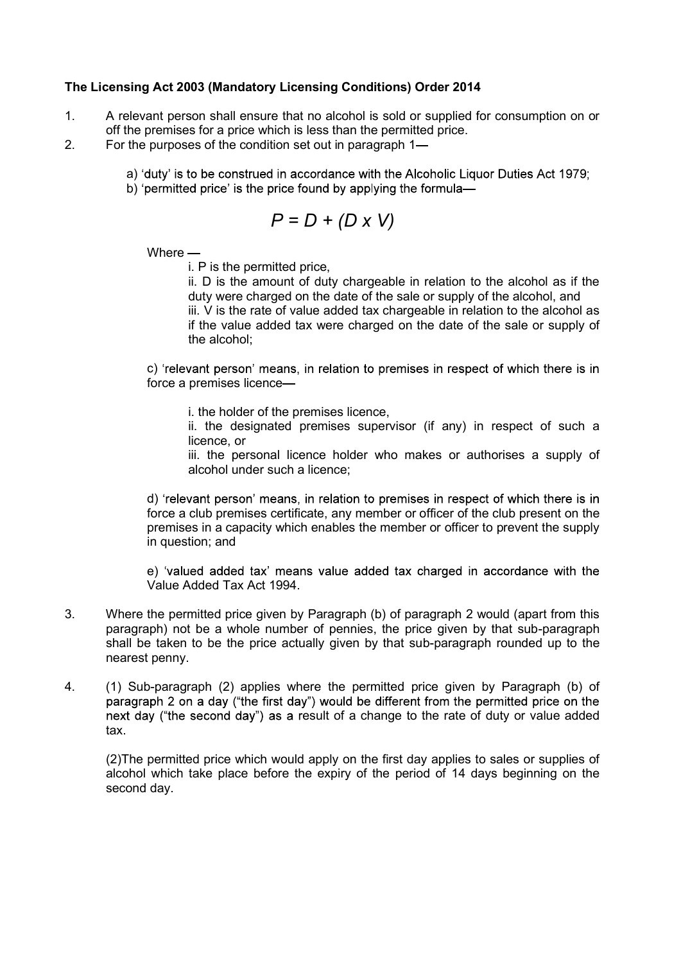## The Licensing Act 2003 (Mandatory Licensing Conditions) Order 2014

- 1. A relevant person shall ensure that no alcohol is sold or supplied for consumption on or off the premises for a price which is less than the permitted price.
- 2. For the purposes of the condition set out in paragraph 1
	- a) 'duty' is to be construed in accordance with the Alcoholic Liquor Duties Act 1979;
	- b) 'permitted price' is the price found by applying the formula-

$$
P = D + (D \times V)
$$

Where —

i. P is the permitted price,

ii. D is the amount of duty chargeable in relation to the alcohol as if the duty were charged on the date of the sale or supply of the alcohol, and iii. V is the rate of value added tax chargeable in relation to the alcohol as if the value added tax were charged on the date of the sale or supply of the alcohol;

c) 'relevant person' means, in relation to premises in respect of which there is in force a premises licence

i. the holder of the premises licence,

ii. the designated premises supervisor (if any) in respect of such a licence, or

iii. the personal licence holder who makes or authorises a supply of alcohol under such a licence;

d) 'relevant person' means, in relation to premises in respect of which there is in force a club premises certificate, any member or officer of the club present on the premises in a capacity which enables the member or officer to prevent the supply in question; and

e) 'valued added tax' means value added tax charged in accordance with the Value Added Tax Act 1994.

- 3. Where the permitted price given by Paragraph (b) of paragraph 2 would (apart from this paragraph) not be a whole number of pennies, the price given by that sub-paragraph shall be taken to be the price actually given by that sub-paragraph rounded up to the nearest penny.
- 4. (1) Sub-paragraph (2) applies where the permitted price given by Paragraph (b) of paragraph 2 on a day ("the first day") would be different from the permitted price on the next day ("the second day") as a result of a change to the rate of duty or value added tax.

(2)The permitted price which would apply on the first day applies to sales or supplies of alcohol which take place before the expiry of the period of 14 days beginning on the second day.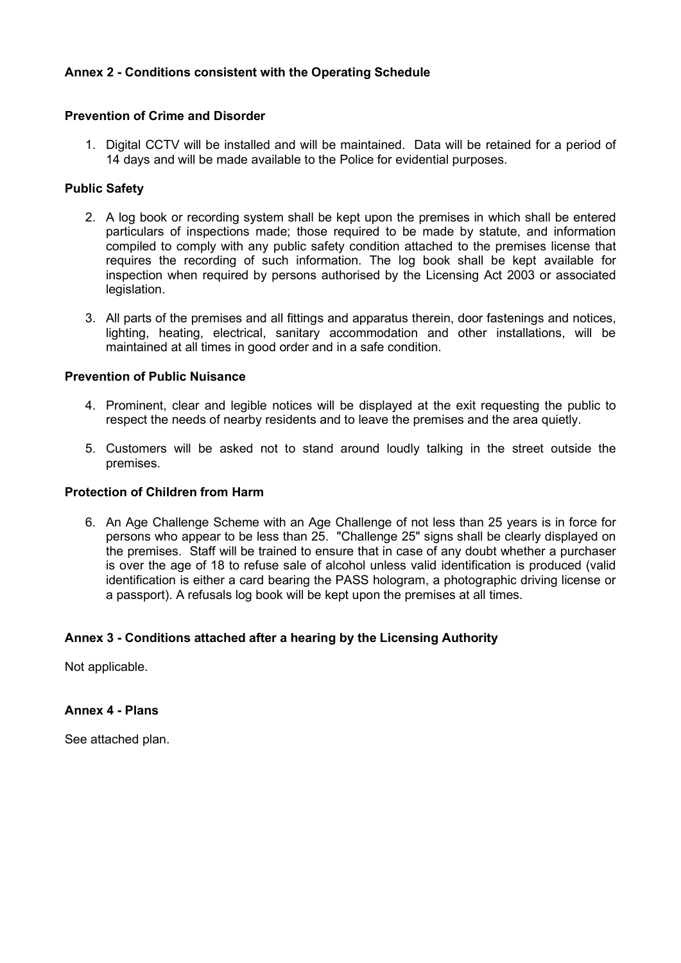## Annex 2 - Conditions consistent with the Operating Schedule

#### Prevention of Crime and Disorder

1. Digital CCTV will be installed and will be maintained. Data will be retained for a period of 14 days and will be made available to the Police for evidential purposes.

## Public Safety

- 2. A log book or recording system shall be kept upon the premises in which shall be entered particulars of inspections made; those required to be made by statute, and information compiled to comply with any public safety condition attached to the premises license that requires the recording of such information. The log book shall be kept available for inspection when required by persons authorised by the Licensing Act 2003 or associated legislation.
- 3. All parts of the premises and all fittings and apparatus therein, door fastenings and notices, lighting, heating, electrical, sanitary accommodation and other installations, will be maintained at all times in good order and in a safe condition.

#### Prevention of Public Nuisance

- 4. Prominent, clear and legible notices will be displayed at the exit requesting the public to respect the needs of nearby residents and to leave the premises and the area quietly.
- 5. Customers will be asked not to stand around loudly talking in the street outside the premises.

#### Protection of Children from Harm

6. An Age Challenge Scheme with an Age Challenge of not less than 25 years is in force for persons who appear to be less than 25. "Challenge 25" signs shall be clearly displayed on the premises. Staff will be trained to ensure that in case of any doubt whether a purchaser is over the age of 18 to refuse sale of alcohol unless valid identification is produced (valid identification is either a card bearing the PASS hologram, a photographic driving license or a passport). A refusals log book will be kept upon the premises at all times.

#### Annex 3 - Conditions attached after a hearing by the Licensing Authority

Not applicable.

Annex 4 - Plans

See attached plan.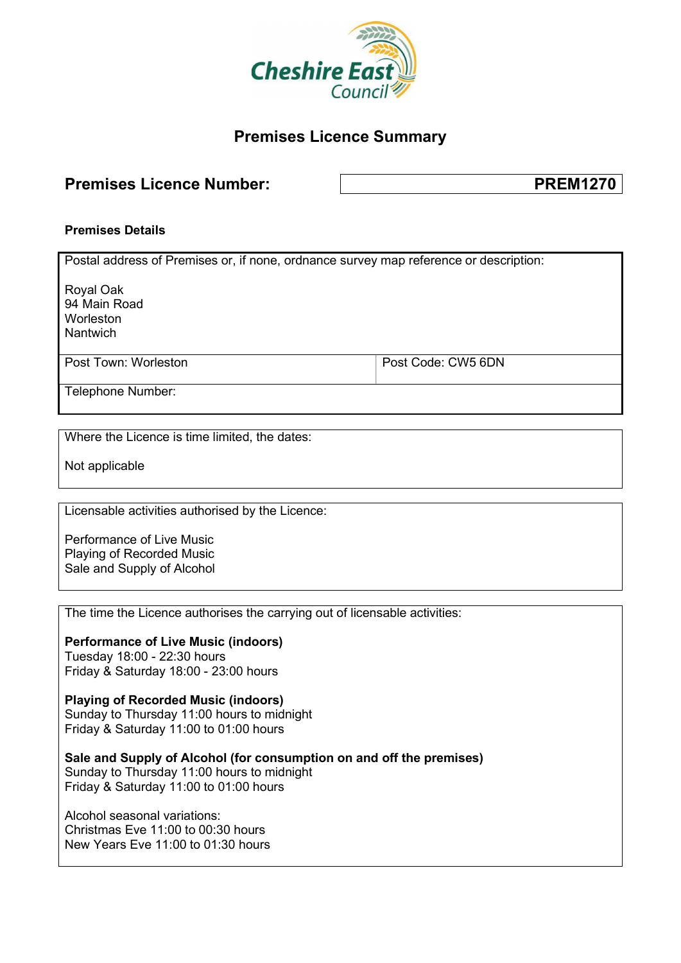

# Premises Licence Summary

# Premises Licence Number:  $\sqrt{ }$  PREM1270

#### Premises Details

Postal address of Premises or, if none, ordnance survey map reference or description: Royal Oak 94 Main Road Worleston Nantwich Post Town: Worleston **Post Code: CW5 6DN** Telephone Number:

Where the Licence is time limited, the dates:

Not applicable

Licensable activities authorised by the Licence:

Performance of Live Music Playing of Recorded Music Sale and Supply of Alcohol

The time the Licence authorises the carrying out of licensable activities:

Performance of Live Music (indoors) Tuesday 18:00 - 22:30 hours Friday & Saturday 18:00 - 23:00 hours

Playing of Recorded Music (indoors) Sunday to Thursday 11:00 hours to midnight Friday & Saturday 11:00 to 01:00 hours

Sale and Supply of Alcohol (for consumption on and off the premises) Sunday to Thursday 11:00 hours to midnight Friday & Saturday 11:00 to 01:00 hours

Alcohol seasonal variations: Christmas Eve 11:00 to 00:30 hours New Years Eve 11:00 to 01:30 hours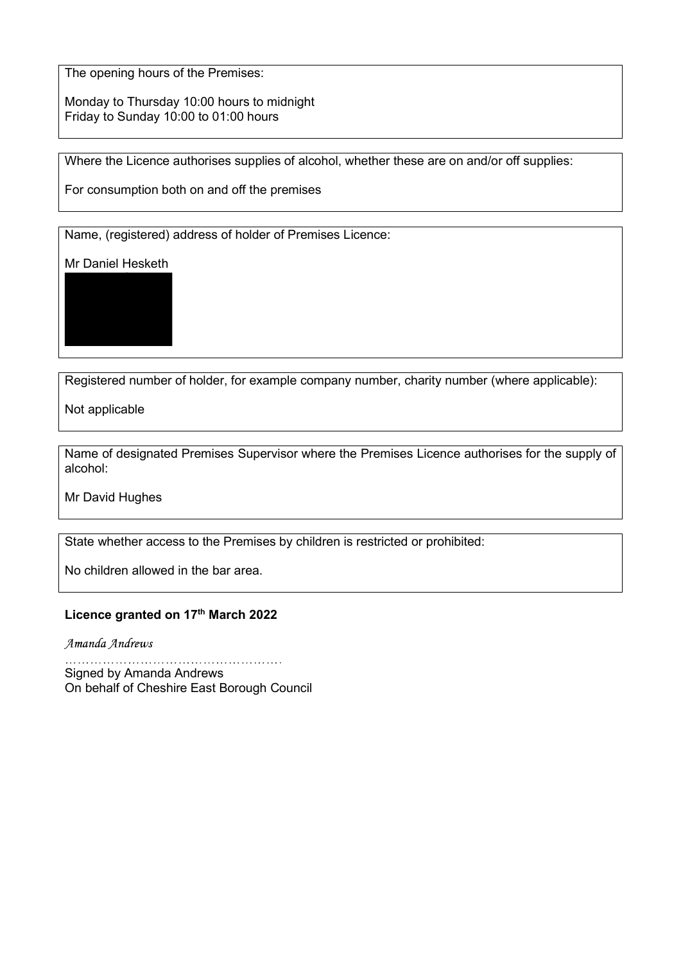The opening hours of the Premises:

Monday to Thursday 10:00 hours to midnight Friday to Sunday 10:00 to 01:00 hours

Where the Licence authorises supplies of alcohol, whether these are on and/or off supplies:

For consumption both on and off the premises

Name, (registered) address of holder of Premises Licence:

Mr Daniel Hesketh

17 Malley Close Upton Pines Upton Wirral CH49 0WL

Registered number of holder, for example company number, charity number (where applicable):

Not applicable

Name of designated Premises Supervisor where the Premises Licence authorises for the supply of alcohol:

Mr David Hughes

State whether access to the Premises by children is restricted or prohibited:

No children allowed in the bar area.

## Licence granted on 17<sup>th</sup> March 2022

Amanda Andrews

Signed by Amanda Andrews On behalf of Cheshire East Borough Council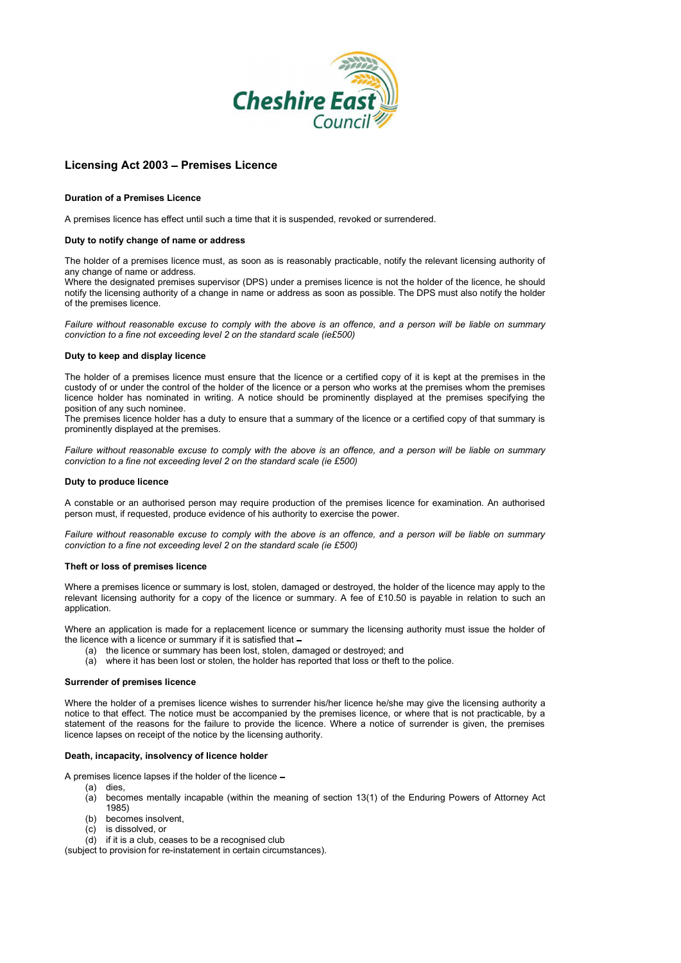

#### Licensing Act 2003 - Premises Licence

#### Duration of a Premises Licence

A premises licence has effect until such a time that it is suspended, revoked or surrendered.

#### Duty to notify change of name or address

The holder of a premises licence must, as soon as is reasonably practicable, notify the relevant licensing authority of any change of name or address.

Where the designated premises supervisor (DPS) under a premises licence is not the holder of the licence, he should notify the licensing authority of a change in name or address as soon as possible. The DPS must also notify the holder of the premises licence.

Failure without reasonable excuse to comply with the above is an offence, and a person will be liable on summary conviction to a fine not exceeding level 2 on the standard scale (ie£500)

#### Duty to keep and display licence

The holder of a premises licence must ensure that the licence or a certified copy of it is kept at the premises in the custody of or under the control of the holder of the licence or a person who works at the premises whom the premises licence holder has nominated in writing. A notice should be prominently displayed at the premises specifying the position of any such nominee.

The premises licence holder has a duty to ensure that a summary of the licence or a certified copy of that summary is prominently displayed at the premises.

Failure without reasonable excuse to comply with the above is an offence, and a person will be liable on summary conviction to a fine not exceeding level 2 on the standard scale (ie £500)

#### Duty to produce licence

A constable or an authorised person may require production of the premises licence for examination. An authorised person must, if requested, produce evidence of his authority to exercise the power.

Failure without reasonable excuse to comply with the above is an offence, and a person will be liable on summary conviction to a fine not exceeding level 2 on the standard scale (ie £500)

#### Theft or loss of premises licence

Where a premises licence or summary is lost, stolen, damaged or destroyed, the holder of the licence may apply to the relevant licensing authority for a copy of the licence or summary. A fee of £10.50 is payable in relation to such an application.

Where an application is made for a replacement licence or summary the licensing authority must issue the holder of the licence with a licence or summary if it is satisfied that

- (a) the licence or summary has been lost, stolen, damaged or destroyed; and
- (a) where it has been lost or stolen, the holder has reported that loss or theft to the police.

#### Surrender of premises licence

Where the holder of a premises licence wishes to surrender his/her licence he/she may give the licensing authority a notice to that effect. The notice must be accompanied by the premises licence, or where that is not practicable, by a statement of the reasons for the failure to provide the licence. Where a notice of surrender is given, the premises licence lapses on receipt of the notice by the licensing authority.

#### Death, incapacity, insolvency of licence holder

A premises licence lapses if the holder of the licence

- (a) dies,
- (a) becomes mentally incapable (within the meaning of section 13(1) of the Enduring Powers of Attorney Act 1985)
- (b) becomes insolvent,
- (c) is dissolved, or
- (d) if it is a club, ceases to be a recognised club

(subject to provision for re-instatement in certain circumstances).